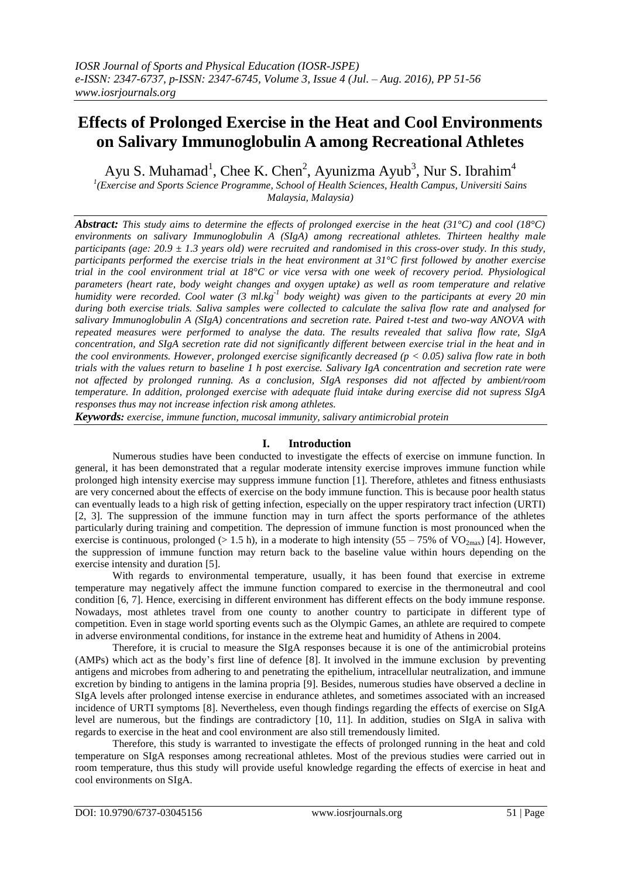# **Effects of Prolonged Exercise in the Heat and Cool Environments on Salivary Immunoglobulin A among Recreational Athletes**

Ayu S. Muhamad<sup>1</sup>, Chee K. Chen<sup>2</sup>, Ayunizma Ayub<sup>3</sup>, Nur S. Ibrahim<sup>4</sup>

*1 (Exercise and Sports Science Programme, School of Health Sciences, Health Campus, Universiti Sains Malaysia, Malaysia)*

*Abstract: This study aims to determine the effects of prolonged exercise in the heat (31°C) and cool (18°C) environments on salivary Immunoglobulin A (SIgA) among recreational athletes. Thirteen healthy male participants (age: 20.9 ± 1.3 years old) were recruited and randomised in this cross-over study. In this study, participants performed the exercise trials in the heat environment at 31°C first followed by another exercise trial in the cool environment trial at 18°C or vice versa with one week of recovery period. Physiological parameters (heart rate, body weight changes and oxygen uptake) as well as room temperature and relative humidity were recorded. Cool water (3 ml.kg*<sup>-1</sup> body weight) was given to the participants at every 20 min *during both exercise trials. Saliva samples were collected to calculate the saliva flow rate and analysed for salivary Immunoglobulin A (SIgA) concentrations and secretion rate. Paired t-test and two-way ANOVA with repeated measures were performed to analyse the data. The results revealed that saliva flow rate, SIgA concentration, and SIgA secretion rate did not significantly different between exercise trial in the heat and in the cool environments. However, prolonged exercise significantly decreased (p < 0.05) saliva flow rate in both trials with the values return to baseline 1 h post exercise. Salivary IgA concentration and secretion rate were not affected by prolonged running. As a conclusion, SIgA responses did not affected by ambient/room temperature. In addition, prolonged exercise with adequate fluid intake during exercise did not supress SIgA responses thus may not increase infection risk among athletes.* 

*Keywords: exercise, immune function, mucosal immunity, salivary antimicrobial protein*

# **I. Introduction**

Numerous studies have been conducted to investigate the effects of exercise on immune function. In general, it has been demonstrated that a regular moderate intensity exercise improves immune function while prolonged high intensity exercise may suppress immune function [1]. Therefore, athletes and fitness enthusiasts are very concerned about the effects of exercise on the body immune function. This is because poor health status can eventually leads to a high risk of getting infection, especially on the upper respiratory tract infection (URTI) [2, 3]. The suppression of the immune function may in turn affect the sports performance of the athletes particularly during training and competition. The depression of immune function is most pronounced when the exercise is continuous, prolonged ( $> 1.5$  h), in a moderate to high intensity (55 – 75% of VO<sub>2max</sub>) [4]. However, the suppression of immune function may return back to the baseline value within hours depending on the exercise intensity and duration [5].

With regards to environmental temperature, usually, it has been found that exercise in extreme temperature may negatively affect the immune function compared to exercise in the thermoneutral and cool condition [6, 7]. Hence, exercising in different environment has different effects on the body immune response. Nowadays, most athletes travel from one county to another country to participate in different type of competition. Even in stage world sporting events such as the Olympic Games, an athlete are required to compete in adverse environmental conditions, for instance in the extreme heat and humidity of Athens in 2004.

Therefore, it is crucial to measure the SIgA responses because it is one of the antimicrobial proteins (AMPs) which act as the body's first line of defence [8]. It involved in the immune exclusion by preventing antigens and microbes from adhering to and penetrating the epithelium, intracellular neutralization, and immune excretion by binding to antigens in the lamina propria [9]. Besides, numerous studies have observed a decline in SIgA levels after prolonged intense exercise in endurance athletes, and sometimes associated with an increased incidence of URTI symptoms [8]. Nevertheless, even though findings regarding the effects of exercise on SIgA level are numerous, but the findings are contradictory [10, 11]. In addition, studies on SIgA in saliva with regards to exercise in the heat and cool environment are also still tremendously limited.

Therefore, this study is warranted to investigate the effects of prolonged running in the heat and cold temperature on SIgA responses among recreational athletes. Most of the previous studies were carried out in room temperature, thus this study will provide useful knowledge regarding the effects of exercise in heat and cool environments on SIgA.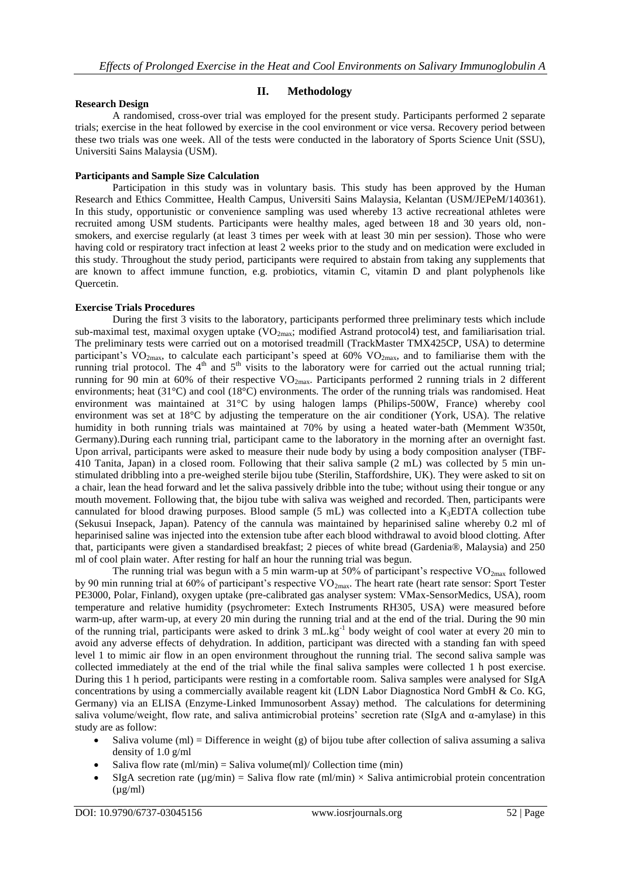# **II. Methodology**

### **Research Design**

A randomised, cross-over trial was employed for the present study. Participants performed 2 separate trials; exercise in the heat followed by exercise in the cool environment or vice versa. Recovery period between these two trials was one week. All of the tests were conducted in the laboratory of Sports Science Unit (SSU), Universiti Sains Malaysia (USM).

### **Participants and Sample Size Calculation**

Participation in this study was in voluntary basis. This study has been approved by the Human Research and Ethics Committee, Health Campus, Universiti Sains Malaysia, Kelantan (USM/JEPeM/140361). In this study, opportunistic or convenience sampling was used whereby 13 active recreational athletes were recruited among USM students. Participants were healthy males, aged between 18 and 30 years old, nonsmokers, and exercise regularly (at least 3 times per week with at least 30 min per session). Those who were having cold or respiratory tract infection at least 2 weeks prior to the study and on medication were excluded in this study. Throughout the study period, participants were required to abstain from taking any supplements that are known to affect immune function, e.g. probiotics, vitamin C, vitamin D and plant polyphenols like Quercetin.

### **Exercise Trials Procedures**

During the first 3 visits to the laboratory, participants performed three preliminary tests which include sub-maximal test, maximal oxygen uptake (VO<sub>2max</sub>; modified Astrand protocol4) test, and familiarisation trial. The preliminary tests were carried out on a motorised treadmill (TrackMaster TMX425CP, USA) to determine participant's  $VO<sub>2max</sub>$ , to calculate each participant's speed at 60%  $VO<sub>2max</sub>$ , and to familiarise them with the running trial protocol. The 4<sup>th</sup> and 5<sup>th</sup> visits to the laboratory were for carried out the actual running trial; running for 90 min at 60% of their respective  $VO_{2max}$ . Participants performed 2 running trials in 2 different environments; heat (31°C) and cool (18°C) environments. The order of the running trials was randomised. Heat environment was maintained at 31°C by using halogen lamps (Philips-500W, France) whereby cool environment was set at 18°C by adjusting the temperature on the air conditioner (York, USA). The relative humidity in both running trials was maintained at 70% by using a heated water-bath (Memment W350t, Germany).During each running trial, participant came to the laboratory in the morning after an overnight fast. Upon arrival, participants were asked to measure their nude body by using a body composition analyser (TBF-410 Tanita, Japan) in a closed room. Following that their saliva sample (2 mL) was collected by 5 min unstimulated dribbling into a pre-weighed sterile bijou tube (Sterilin, Staffordshire, UK). They were asked to sit on a chair, lean the head forward and let the saliva passively dribble into the tube; without using their tongue or any mouth movement. Following that, the bijou tube with saliva was weighed and recorded. Then, participants were cannulated for blood drawing purposes. Blood sample  $(5 \text{ mL})$  was collected into a K<sub>3</sub>EDTA collection tube (Sekusui Insepack, Japan). Patency of the cannula was maintained by heparinised saline whereby 0.2 ml of heparinised saline was injected into the extension tube after each blood withdrawal to avoid blood clotting. After that, participants were given a standardised breakfast; 2 pieces of white bread (Gardenia®, Malaysia) and 250 ml of cool plain water. After resting for half an hour the running trial was begun.

The running trial was begun with a 5 min warm-up at 50% of participant's respective  $VO_{2max}$  followed by 90 min running trial at 60% of participant's respective  $VO_{2max}$ . The heart rate (heart rate sensor: Sport Tester PE3000, Polar, Finland), oxygen uptake (pre-calibrated gas analyser system: VMax-SensorMedics, USA), room temperature and relative humidity (psychrometer: Extech Instruments RH305, USA) were measured before warm-up, after warm-up, at every 20 min during the running trial and at the end of the trial. During the 90 min of the running trial, participants were asked to drink 3 mL.kg<sup>-1</sup> body weight of cool water at every 20 min to avoid any adverse effects of dehydration. In addition, participant was directed with a standing fan with speed level 1 to mimic air flow in an open environment throughout the running trial. The second saliva sample was collected immediately at the end of the trial while the final saliva samples were collected 1 h post exercise. During this 1 h period, participants were resting in a comfortable room. Saliva samples were analysed for SIgA concentrations by using a commercially available reagent kit (LDN Labor Diagnostica Nord GmbH & Co. KG, Germany) via an ELISA (Enzyme-Linked Immunosorbent Assay) method. The calculations for determining saliva volume/weight, flow rate, and saliva antimicrobial proteins' secretion rate (SIgA and α-amylase) in this study are as follow:

- $\bullet$  Saliva volume (ml) = Difference in weight (g) of bijou tube after collection of saliva assuming a saliva density of 1.0 g/ml
- Saliva flow rate  $\text{m} \cdot \text{m} = \text{Saliva volume}(\text{ml}) / \text{Collection time}(\text{min})$
- SIgA secretion rate ( $\mu$ g/min) = Saliva flow rate (ml/min)  $\times$  Saliva antimicrobial protein concentration  $(\mu g/ml)$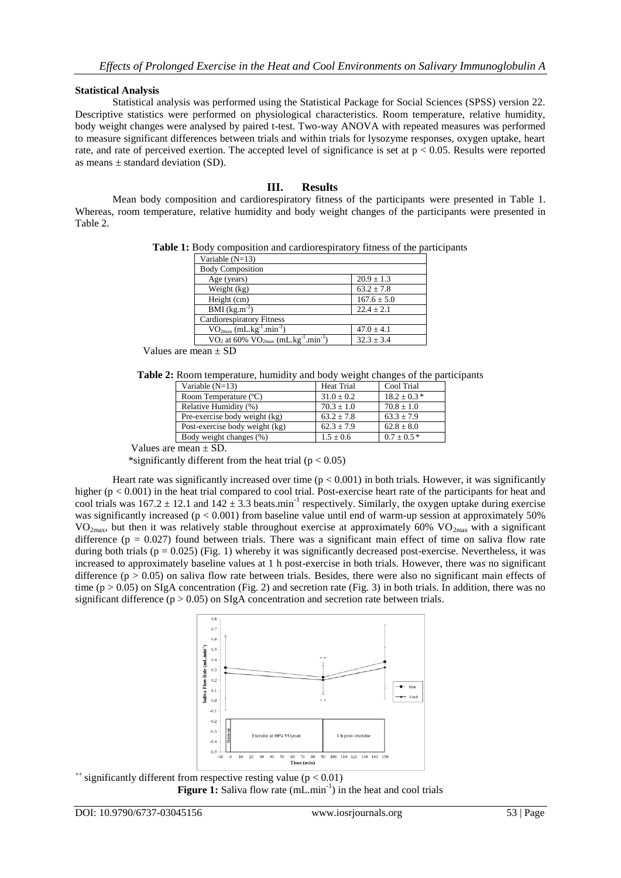# **Statistical Analysis**

Statistical analysis was performed using the Statistical Package for Social Sciences (SPSS) version 22. Descriptive statistics were performed on physiological characteristics. Room temperature, relative humidity, body weight changes were analysed by paired t-test. Two-way ANOVA with repeated measures was performed to measure significant differences between trials and within trials for lysozyme responses, oxygen uptake, heart rate, and rate of perceived exertion. The accepted level of significance is set at p < 0.05. Results were reported as means  $\pm$  standard deviation (SD).

# **III. Results**

Mean body composition and cardiorespiratory fitness of the participants were presented in Table 1. Whereas, room temperature, relative humidity and body weight changes of the participants were presented in Table 2.

**Table 1:** Body composition and cardiorespiratory fitness of the participants

| Variable $(N=13)$                                                                   |                 |
|-------------------------------------------------------------------------------------|-----------------|
| <b>Body Composition</b>                                                             |                 |
| Age (years)                                                                         | $20.9 \pm 1.3$  |
| Weight (kg)                                                                         | $63.2 \pm 7.8$  |
| Height (cm)                                                                         | $167.6 \pm 5.0$ |
| BMI $(kg.m^{-2})$                                                                   | $22.4 \pm 2.1$  |
| <b>Cardiorespiratory Fitness</b>                                                    |                 |
| $VO2max$ (mL.kg <sup>-1</sup> .min <sup>-1</sup> )                                  | $47.0 \pm 4.1$  |
| VO <sub>2</sub> at 60% VO <sub>2max</sub> (mL.kg <sup>-1</sup> .min <sup>-1</sup> ) | $32.3 \pm 3.4$  |
|                                                                                     |                 |

Values are mean ± SD

**Table 2:** Room temperature, humidity and body weight changes of the participants

| Variable $(N=13)$              | <b>Heat Trial</b> | Cool Trial      |
|--------------------------------|-------------------|-----------------|
| Room Temperature (°C)          | $31.0 \pm 0.2$    | $18.2 \pm 0.3*$ |
| Relative Humidity (%)          | $70.3 \pm 1.0$    | $70.8 \pm 1.0$  |
| Pre-exercise body weight (kg)  | $63.2 + 7.8$      | $63.3 + 7.9$    |
| Post-exercise body weight (kg) | $62.3 + 7.9$      | $62.8 \pm 8.0$  |
| Body weight changes (%)        | $1.5 \pm 0.6$     | $0.7 \pm 0.5*$  |
| $\sim$                         |                   |                 |

Values are mean ± SD.

\*significantly different from the heat trial  $(p < 0.05)$ 

Heart rate was significantly increased over time  $(p < 0.001)$  in both trials. However, it was significantly higher ( $p < 0.001$ ) in the heat trial compared to cool trial. Post-exercise heart rate of the participants for heat and cool trials was  $167.2 \pm 12.1$  and  $142 \pm 3.3$  beats.min<sup>-1</sup> respectively. Similarly, the oxygen uptake during exercise was significantly increased ( $p < 0.001$ ) from baseline value until end of warm-up session at approximately 50%  $VO_{2max}$ , but then it was relatively stable throughout exercise at approximately 60%  $VO_{2max}$  with a significant difference ( $p = 0.027$ ) found between trials. There was a significant main effect of time on saliva flow rate during both trials ( $p = 0.025$ ) (Fig. 1) whereby it was significantly decreased post-exercise. Nevertheless, it was increased to approximately baseline values at 1 h post-exercise in both trials. However, there was no significant difference ( $p > 0.05$ ) on saliva flow rate between trials. Besides, there were also no significant main effects of time ( $p > 0.05$ ) on SIgA concentration (Fig. 2) and secretion rate (Fig. 3) in both trials. In addition, there was no significant difference ( $p > 0.05$ ) on SIgA concentration and secretion rate between trials.



 $^{++}$  significantly different from respective resting value ( $p < 0.01$ ) Figure 1: Saliva flow rate (mL.min<sup>-1</sup>) in the heat and cool trials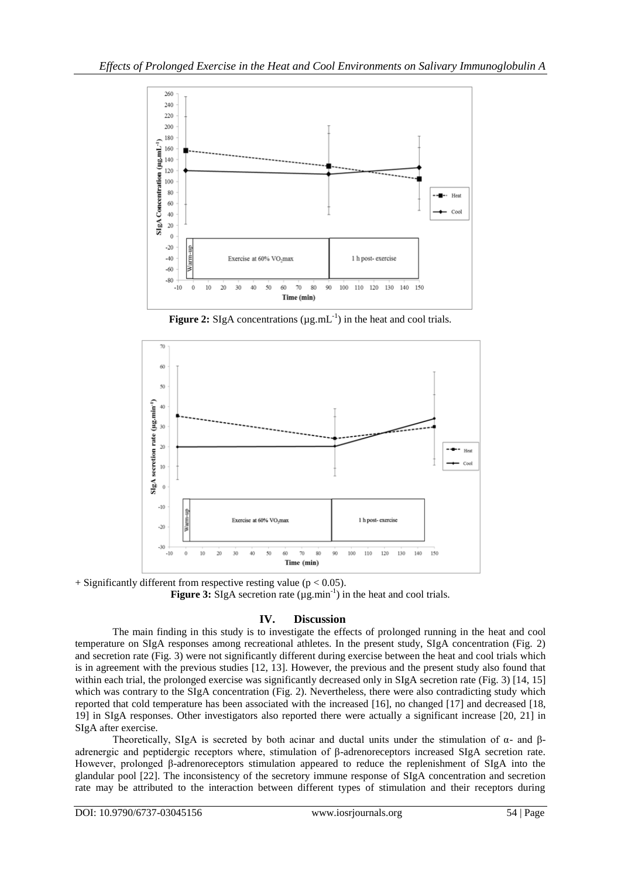

**Figure 2:** SIgA concentrations ( $\mu$ g.mL $^{-1}$ ) in the heat and cool trials.



 $+$  Significantly different from respective resting value (p < 0.05). **Figure 3:** SIgA secretion rate  $(\mu g.min^{-1})$  in the heat and cool trials.

# **IV. Discussion**

The main finding in this study is to investigate the effects of prolonged running in the heat and cool temperature on SIgA responses among recreational athletes. In the present study, SIgA concentration (Fig. 2) and secretion rate (Fig. 3) were not significantly different during exercise between the heat and cool trials which is in agreement with the previous studies [12, 13]. However, the previous and the present study also found that within each trial, the prolonged exercise was significantly decreased only in SIgA secretion rate (Fig. 3) [14, 15] which was contrary to the SIgA concentration (Fig. 2). Nevertheless, there were also contradicting study which reported that cold temperature has been associated with the increased [16], no changed [17] and decreased [18, 19] in SIgA responses. Other investigators also reported there were actually a significant increase [20, 21] in SIgA after exercise.

Theoretically, SIgA is secreted by both acinar and ductal units under the stimulation of  $\alpha$ - and  $\beta$ adrenergic and peptidergic receptors where, stimulation of β-adrenoreceptors increased SIgA secretion rate. However, prolonged β-adrenoreceptors stimulation appeared to reduce the replenishment of SIgA into the glandular pool [22]. The inconsistency of the secretory immune response of SIgA concentration and secretion rate may be attributed to the interaction between different types of stimulation and their receptors during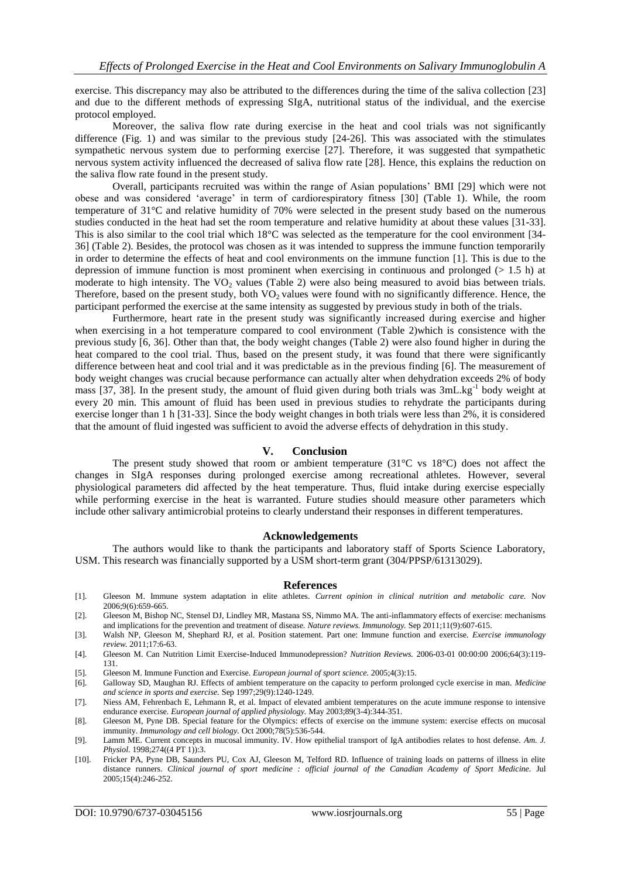exercise. This discrepancy may also be attributed to the differences during the time of the saliva collection [23] and due to the different methods of expressing SIgA, nutritional status of the individual, and the exercise protocol employed.

Moreover, the saliva flow rate during exercise in the heat and cool trials was not significantly difference (Fig. 1) and was similar to the previous study [24-26]. This was associated with the stimulates sympathetic nervous system due to performing exercise [27]. Therefore, it was suggested that sympathetic nervous system activity influenced the decreased of saliva flow rate [28]. Hence, this explains the reduction on the saliva flow rate found in the present study.

Overall, participants recruited was within the range of Asian populations' BMI [29] which were not obese and was considered 'average' in term of cardiorespiratory fitness [30] (Table 1). While, the room temperature of 31°C and relative humidity of 70% were selected in the present study based on the numerous studies conducted in the heat had set the room temperature and relative humidity at about these values [31-33]. This is also similar to the cool trial which 18°C was selected as the temperature for the cool environment [34- 36] (Table 2). Besides, the protocol was chosen as it was intended to suppress the immune function temporarily in order to determine the effects of heat and cool environments on the immune function [1]. This is due to the depression of immune function is most prominent when exercising in continuous and prolonged (> 1.5 h) at moderate to high intensity. The  $VO<sub>2</sub>$  values (Table 2) were also being measured to avoid bias between trials. Therefore, based on the present study, both VO<sub>2</sub> values were found with no significantly difference. Hence, the participant performed the exercise at the same intensity as suggested by previous study in both of the trials.

Furthermore, heart rate in the present study was significantly increased during exercise and higher when exercising in a hot temperature compared to cool environment (Table 2)which is consistence with the previous study [6, 36]. Other than that, the body weight changes (Table 2) were also found higher in during the heat compared to the cool trial. Thus, based on the present study, it was found that there were significantly difference between heat and cool trial and it was predictable as in the previous finding [6]. The measurement of body weight changes was crucial because performance can actually alter when dehydration exceeds 2% of body mass [37, 38]. In the present study, the amount of fluid given during both trials was 3mL.kg<sup>-1</sup> body weight at every 20 min. This amount of fluid has been used in previous studies to rehydrate the participants during exercise longer than 1 h [31-33]. Since the body weight changes in both trials were less than 2%, it is considered that the amount of fluid ingested was sufficient to avoid the adverse effects of dehydration in this study.

## **V. Conclusion**

The present study showed that room or ambient temperature  $(31^{\circ}C \text{ vs } 18^{\circ}C)$  does not affect the changes in SIgA responses during prolonged exercise among recreational athletes. However, several physiological parameters did affected by the heat temperature. Thus, fluid intake during exercise especially while performing exercise in the heat is warranted. Future studies should measure other parameters which include other salivary antimicrobial proteins to clearly understand their responses in different temperatures.

### **Acknowledgements**

The authors would like to thank the participants and laboratory staff of Sports Science Laboratory, USM. This research was financially supported by a USM short-term grant (304/PPSP/61313029).

#### **References**

- [1]. Gleeson M. Immune system adaptation in elite athletes. *Current opinion in clinical nutrition and metabolic care.* Nov 2006;9(6):659-665.
- [2]. Gleeson M, Bishop NC, Stensel DJ, Lindley MR, Mastana SS, Nimmo MA. The anti-inflammatory effects of exercise: mechanisms and implications for the prevention and treatment of disease. *Nature reviews. Immunology.* Sep 2011;11(9):607-615.
- [3]. Walsh NP, Gleeson M, Shephard RJ, et al. Position statement. Part one: Immune function and exercise. *Exercise immunology review.* 2011;17:6-63.
- [4]. Gleeson M. Can Nutrition Limit Exercise-Induced Immunodepression? *Nutrition Reviews.* 2006-03-01 00:00:00 2006;64(3):119- 131.
- [5]. Gleeson M. Immune Function and Exercise. *European journal of sport science.* 2005;4(3):15.
- [6]. Galloway SD, Maughan RJ. Effects of ambient temperature on the capacity to perform prolonged cycle exercise in man. *Medicine and science in sports and exercise.* Sep 1997;29(9):1240-1249.
- [7]. Niess AM, Fehrenbach E, Lehmann R, et al. Impact of elevated ambient temperatures on the acute immune response to intensive endurance exercise. *European journal of applied physiology.* May 2003;89(3-4):344-351.
- [8]. Gleeson M, Pyne DB. Special feature for the Olympics: effects of exercise on the immune system: exercise effects on mucosal immunity. *Immunology and cell biology.* Oct 2000;78(5):536-544.
- [9]. Lamm ME. Current concepts in mucosal immunity. IV. How epithelial transport of IgA antibodies relates to host defense. *Am. J. Physiol.* 1998;274((4 PT 1)):3.
- [10]. Fricker PA, Pyne DB, Saunders PU, Cox AJ, Gleeson M, Telford RD. Influence of training loads on patterns of illness in elite distance runners. *Clinical journal of sport medicine : official journal of the Canadian Academy of Sport Medicine.* Jul 2005;15(4):246-252.